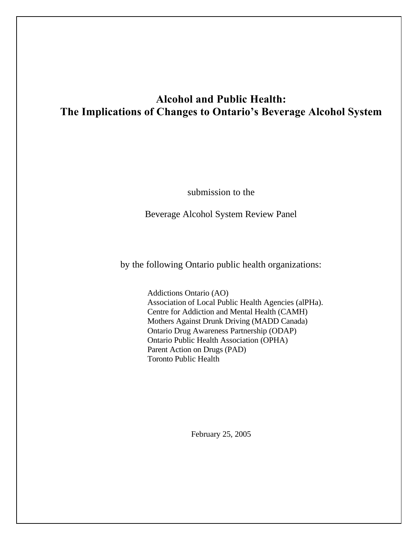# **Alcohol and Public Health: The Implications of Changes to Ontario's Beverage Alcohol System**

submission to the

Beverage Alcohol System Review Panel

by the following Ontario public health organizations:

Addictions Ontario (AO) Association of Local Public Health Agencies (alPHa). Centre for Addiction and Mental Health (CAMH) Mothers Against Drunk Driving (MADD Canada) Ontario Drug Awareness Partnership (ODAP) Ontario Public Health Association (OPHA) Parent Action on Drugs (PAD) Toronto Public Health

February 25, 2005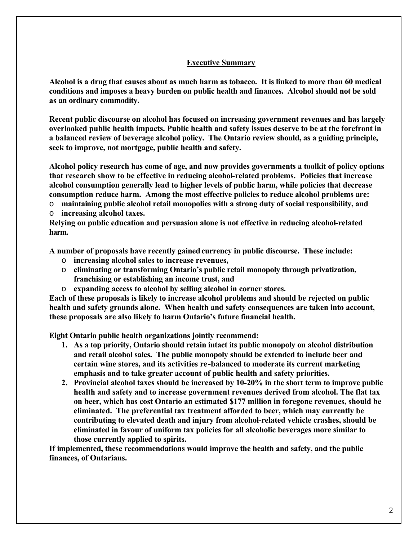#### **Executive Summary**

**Alcohol is a drug that causes about as much harm as tobacco. It is linked to more than 60 medical conditions and imposes a heavy burden on public health and finances. Alcohol should not be sold as an ordinary commodity.**

**Recent public discourse on alcohol has focused on increasing government revenues and has largely overlooked public health impacts. Public health and safety issues deserve to be at the forefront in a balanced review of beverage alcohol policy. The Ontario review should, as a guiding principle, seek to improve, not mortgage, public health and safety.**

**Alcohol policy research has come of age, and now provides governments a toolkit of policy options that research show to be effective in reducing alcohol-related problems. Policies that increase alcohol consumption generally lead to higher levels of public harm, while policies that decrease consumption reduce harm. Among the most effective policies to reduce alcohol problems are:**

o **maintaining public alcohol retail monopolies with a strong duty of social responsibility, and** o **increasing alcohol taxes.**

**Relying on public education and persuasion alone is not effective in reducing alcohol-related harm.**

**A number of proposals have recently gained currency in public discourse. These include:**

- o **increasing alcohol sales to increase revenues,**
- o **eliminating or transforming Ontario's public retail monopoly through privatization, franchising or establishing an income trust, and**
- o **expanding access to alcohol by selling alcohol in corner stores.**

**Each of these proposals is likely to increase alcohol problems and should be rejected on public health and safety grounds alone. When health and safety consequences are taken into account, these proposals are also likely to harm Ontario's future financial health.**

**Eight Ontario public health organizations jointly recommend:**

- **1. As a top priority, Ontario should retain intact its public monopoly on alcohol distribution and retail alcohol sales. The public monopoly should be extended to include beer and certain wine stores, and its activities re-balanced to moderate its current marketing emphasis and to take greater account of public health and safety priorities.**
- **2. Provincial alcohol taxes should be increased by 10-20% in the short term to improve public health and safety and to increase government revenues derived from alcohol. The flat tax on beer, which has cost Ontario an estimated \$177 million in foregone revenues, should be eliminated. The preferential tax treatment afforded to beer, which may currently be contributing to elevated death and injury from alcohol-related vehicle crashes, should be eliminated in favour of uniform tax policies for all alcoholic beverages more similar to those currently applied to spirits.**

**If implemented, these recommendations would improve the health and safety, and the public finances, of Ontarians.**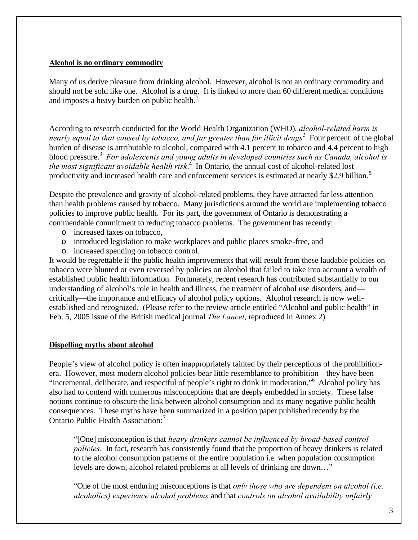#### **Alcohol is no ordinary commodity**

Many of us derive pleasure from drinking alcohol. However, alcohol is not an ordinary commodity and should not be sold like one. Alcohol is a drug. It is linked to more than 60 different medical conditions and imposes a heavy burden on public health.<sup>1</sup>

According to research conducted for the World Health Organization (WHO), *alcohol-related harm is nearly equal to that caused by tobacco, and far greater than for illicit drugs<sup>2</sup> Four percent of the global* burden of disease is attributable to alcohol, compared with 4.1 percent to tobacco and 4.4 percent to high blood pressure.<sup>3</sup> For adolescents and young adults in developed countries such as Canada, alcohol is *the most significant avoidable health risk*. 4 In Ontario, the annual cost of alcohol-related lost productivity and increased health care and enforcement services is estimated at nearly \$2.9 billion.<sup>5</sup>

Despite the prevalence and gravity of alcohol-related problems, they have attracted far less attention than health problems caused by tobacco. Many jurisdictions around the world are implementing tobacco policies to improve public health. For its part, the government of Ontario is demonstrating a commendable commitment to reducing tobacco problems. The government has recently:

- o increased taxes on tobacco,
- o introduced legislation to make workplaces and public places smoke-free, and
- o increased spending on tobacco control.

It would be regrettable if the public health improvements that will result from these laudable policies on tobacco were blunted or even reversed by policies on alcohol that failed to take into account a wealth of established public health information. Fortunately, recent research has contributed substantially to our understanding of alcohol's role in health and illness, the treatment of alcohol use disorders, and critically—the importance and efficacy of alcohol policy options. Alcohol research is now wellestablished and recognized. (Please refer to the review article entitled "Alcohol and public health" in Feb. 5, 2005 issue of the British medical journal *The Lancet*, reproduced in Annex 2)

### **Dispelling myths about alcohol**

People's view of alcohol policy is often inappropriately tainted by their perceptions of the prohibitionera. However, most modern alcohol policies bear little resemblance to prohibition—they have been "incremental, deliberate, and respectful of people's right to drink in moderation."<sup>6</sup> Alcohol policy has also had to contend with numerous misconceptions that are deeply embedded in society. These false notions continue to obscure the link between alcohol consumption and its many negative public health consequences. These myths have been summarized in a position paper published recently by the Ontario Public Health Association:<sup>7</sup>

"[One] misconception is that *heavy drinkers cannot be influenced by broad-based control policies*. In fact, research has consistently found that the proportion of heavy drinkers is related to the alcohol consumption patterns of the entire population i.e. when population consumption levels are down, alcohol related problems at all levels of drinking are down…"

"One of the most enduring misconceptions is that *only those who are dependent on alcohol (i.e. alcoholics) experience alcohol problems* and that *controls on alcohol availability unfairly*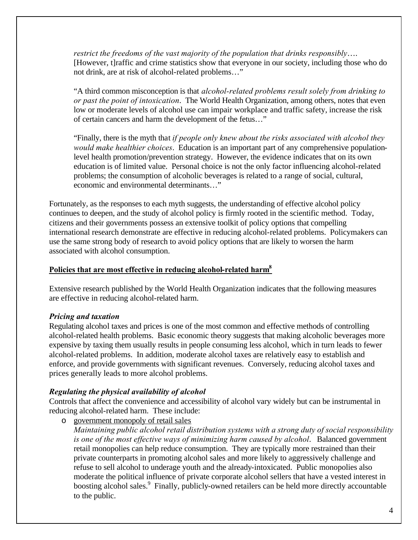*restrict the freedoms of the vast majority of the population that drinks responsibly*…. [However, t]raffic and crime statistics show that everyone in our society, including those who do not drink, are at risk of alcohol-related problems…"

"A third common misconception is that *alcohol-related problems result solely from drinking to or past the point of intoxication*. The World Health Organization, among others, notes that even low or moderate levels of alcohol use can impair workplace and traffic safety, increase the risk of certain cancers and harm the development of the fetus…"

"Finally, there is the myth that *if people only knew about the risks associated with alcohol they would make healthier choices*. Education is an important part of any comprehensive populationlevel health promotion/prevention strategy. However, the evidence indicates that on its own education is of limited value. Personal choice is not the only factor influencing alcohol-related problems; the consumption of alcoholic beverages is related to a range of social, cultural, economic and environmental determinants…"

Fortunately, as the responses to each myth suggests, the understanding of effective alcohol policy continues to deepen, and the study of alcohol policy is firmly rooted in the scientific method. Today, citizens and their governments possess an extensive toolkit of policy options that compelling international research demonstrate are effective in reducing alcohol-related problems. Policymakers can use the same strong body of research to avoid policy options that are likely to worsen the harm associated with alcohol consumption.

## **Policies that are most effective in reducing alcohol-related harm<sup>8</sup>**

Extensive research published by the World Health Organization indicates that the following measures are effective in reducing alcohol-related harm.

# *Pricing and taxation*

Regulating alcohol taxes and prices is one of the most common and effective methods of controlling alcohol-related health problems. Basic economic theory suggests that making alcoholic beverages more expensive by taxing them usually results in people consuming less alcohol, which in turn leads to fewer alcohol-related problems. In addition, moderate alcohol taxes are relatively easy to establish and enforce, and provide governments with significant revenues. Conversely, reducing alcohol taxes and prices generally leads to more alcohol problems.

# *Regulating the physical availability of alcohol*

Controls that affect the convenience and accessibility of alcohol vary widely but can be instrumental in reducing alcohol-related harm. These include:

o government monopoly of retail sales

*Maintaining public alcohol retail distribution systems with a strong duty of social responsibility is one of the most effective ways of minimizing harm caused by alcohol*. Balanced government retail monopolies can help reduce consumption. They are typically more restrained than their private counterparts in promoting alcohol sales and more likely to aggressively challenge and refuse to sell alcohol to underage youth and the already-intoxicated. Public monopolies also moderate the political influence of private corporate alcohol sellers that have a vested interest in boosting alcohol sales.<sup>9</sup> Finally, publicly-owned retailers can be held more directly accountable to the public.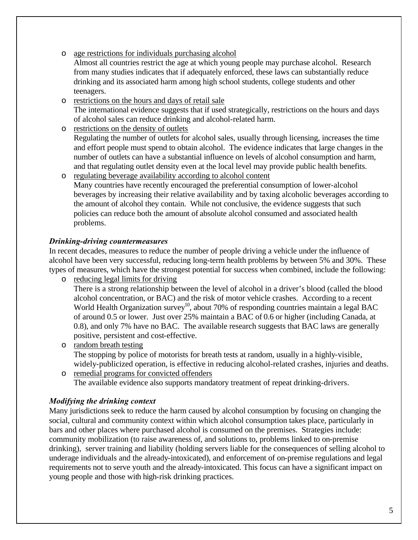- o age restrictions for individuals purchasing alcohol
	- Almost all countries restrict the age at which young people may purchase alcohol. Research from many studies indicates that if adequately enforced, these laws can substantially reduce drinking and its associated harm among high school students, college students and other teenagers.

o restrictions on the hours and days of retail sale The international evidence suggests that if used strategically, restrictions on the hours and days of alcohol sales can reduce drinking and alcohol-related harm.

- o restrictions on the density of outlets Regulating the number of outlets for alcohol sales, usually through licensing, increases the time and effort people must spend to obtain alcohol. The evidence indicates that large changes in the number of outlets can have a substantial influence on levels of alcohol consumption and harm, and that regulating outlet density even at the local level may provide public health benefits.
- o regulating beverage availability according to alcohol content Many countries have recently encouraged the preferential consumption of lower-alcohol beverages by increasing their relative availability and by taxing alcoholic beverages according to the amount of alcohol they contain. While not conclusive, the evidence suggests that such policies can reduce both the amount of absolute alcohol consumed and associated health problems.

# *Drinking-driving countermeasures*

In recent decades, measures to reduce the number of people driving a vehicle under the influence of alcohol have been very successful, reducing long-term health problems by between 5% and 30%. These types of measures, which have the strongest potential for success when combined, include the following: o reducing legal limits for driving

There is a strong relationship between the level of alcohol in a driver's blood (called the blood alcohol concentration, or BAC) and the risk of motor vehicle crashes. According to a recent World Health Organization survey<sup>10</sup>, about 70% of responding countries maintain a legal BAC of around 0.5 or lower. Just over 25% maintain a BAC of 0.6 or higher (including Canada, at 0.8), and only 7% have no BAC. The available research suggests that BAC laws are generally positive, persistent and cost-effective.

- o random breath testing The stopping by police of motorists for breath tests at random, usually in a highly-visible, widely-publicized operation, is effective in reducing alcohol-related crashes, injuries and deaths.
- o remedial programs for convicted offenders The available evidence also supports mandatory treatment of repeat drinking-drivers.

# *Modifying the drinking context*

Many jurisdictions seek to reduce the harm caused by alcohol consumption by focusing on changing the social, cultural and community context within which alcohol consumption takes place, particularly in bars and other places where purchased alcohol is consumed on the premises. Strategies include: community mobilization (to raise awareness of, and solutions to, problems linked to on-premise drinking), server training and liability (holding servers liable for the consequences of selling alcohol to underage individuals and the already-intoxicated), and enforcement of on-premise regulations and legal requirements not to serve youth and the already-intoxicated. This focus can have a significant impact on young people and those with high-risk drinking practices.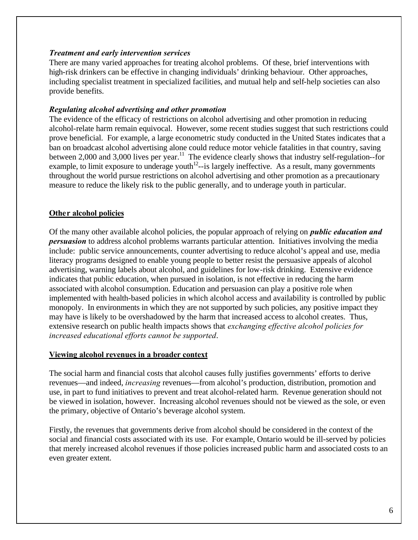#### *Treatment and early intervention services*

There are many varied approaches for treating alcohol problems. Of these, brief interventions with high-risk drinkers can be effective in changing individuals' drinking behaviour. Other approaches, including specialist treatment in specialized facilities, and mutual help and self-help societies can also provide benefits.

#### *Regulating alcohol advertising and other promotion*

The evidence of the efficacy of restrictions on alcohol advertising and other promotion in reducing alcohol-relate harm remain equivocal. However, some recent studies suggest that such restrictions could prove beneficial. For example, a large econometric study conducted in the United States indicates that a ban on broadcast alcohol advertising alone could reduce motor vehicle fatalities in that country, saving between 2,000 and 3,000 lives per year.<sup>11</sup> The evidence clearly shows that industry self-regulation--for example, to limit exposure to underage youth $12$ -is largely ineffective. As a result, many governments throughout the world pursue restrictions on alcohol advertising and other promotion as a precautionary measure to reduce the likely risk to the public generally, and to underage youth in particular.

### **Other alcohol policies**

Of the many other available alcohol policies, the popular approach of relying on *public education and persuasion* to address alcohol problems warrants particular attention. Initiatives involving the media include: public service announcements, counter advertising to reduce alcohol's appeal and use, media literacy programs designed to enable young people to better resist the persuasive appeals of alcohol advertising, warning labels about alcohol, and guidelines for low-risk drinking. Extensive evidence indicates that public education, when pursued in isolation, is not effective in reducing the harm associated with alcohol consumption. Education and persuasion can play a positive role when implemented with health-based policies in which alcohol access and availability is controlled by public monopoly. In environments in which they are not supported by such policies, any positive impact they may have is likely to be overshadowed by the harm that increased access to alcohol creates. Thus, extensive research on public health impacts shows that *exchanging effective alcohol policies for increased educational efforts cannot be supported*.

### **Viewing alcohol revenues in a broader context**

The social harm and financial costs that alcohol causes fully justifies governments' efforts to derive revenues—and indeed, *increasing* revenues—from alcohol's production, distribution, promotion and use, in part to fund initiatives to prevent and treat alcohol-related harm. Revenue generation should not be viewed in isolation, however. Increasing alcohol revenues should not be viewed as the sole, or even the primary, objective of Ontario's beverage alcohol system.

Firstly, the revenues that governments derive from alcohol should be considered in the context of the social and financial costs associated with its use. For example, Ontario would be ill-served by policies that merely increased alcohol revenues if those policies increased public harm and associated costs to an even greater extent.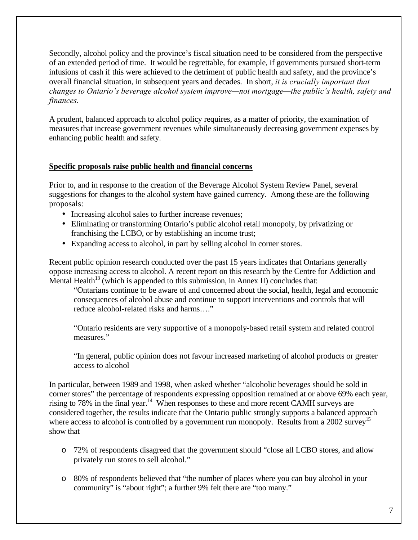Secondly, alcohol policy and the province's fiscal situation need to be considered from the perspective of an extended period of time. It would be regrettable, for example, if governments pursued short-term infusions of cash if this were achieved to the detriment of public health and safety, and the province's overall financial situation, in subsequent years and decades. In short, *it is crucially important that changes to Ontario's beverage alcohol system improve—not mortgage—the public's health, safety and finances.*

A prudent, balanced approach to alcohol policy requires, as a matter of priority, the examination of measures that increase government revenues while simultaneously decreasing government expenses by enhancing public health and safety.

### **Specific proposals raise public health and financial concerns**

Prior to, and in response to the creation of the Beverage Alcohol System Review Panel, several suggestions for changes to the alcohol system have gained currency. Among these are the following proposals:

- Increasing alcohol sales to further increase revenues;
- Eliminating or transforming Ontario's public alcohol retail monopoly, by privatizing or franchising the LCBO, or by establishing an income trust;
- Expanding access to alcohol, in part by selling alcohol in corner stores.

Recent public opinion research conducted over the past 15 years indicates that Ontarians generally oppose increasing access to alcohol. A recent report on this research by the Centre for Addiction and Mental Health<sup>13</sup> (which is appended to this submission, in Annex II) concludes that:

"Ontarians continue to be aware of and concerned about the social, health, legal and economic consequences of alcohol abuse and continue to support interventions and controls that will reduce alcohol-related risks and harms…."

"Ontario residents are very supportive of a monopoly-based retail system and related control measures."

"In general, public opinion does not favour increased marketing of alcohol products or greater access to alcohol

In particular, between 1989 and 1998, when asked whether "alcoholic beverages should be sold in corner stores" the percentage of respondents expressing opposition remained at or above 69% each year, rising to 78% in the final year.<sup>14</sup> When responses to these and more recent CAMH surveys are considered together, the results indicate that the Ontario public strongly supports a balanced approach where access to alcohol is controlled by a government run monopoly. Results from a 2002 survey<sup>15</sup> show that

- o 72% of respondents disagreed that the government should "close all LCBO stores, and allow privately run stores to sell alcohol."
- o 80% of respondents believed that "the number of places where you can buy alcohol in your community" is "about right"; a further 9% felt there are "too many."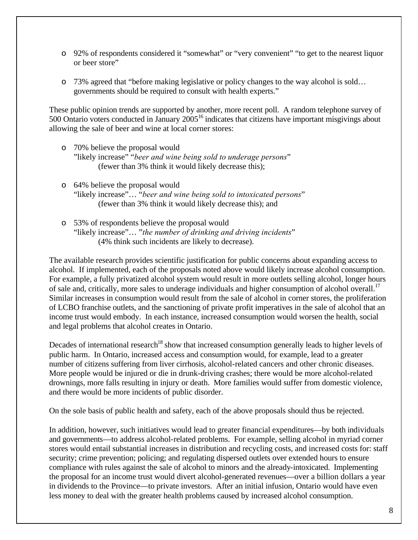- o 92% of respondents considered it "somewhat" or "very convenient" "to get to the nearest liquor or beer store"
- o 73% agreed that "before making legislative or policy changes to the way alcohol is sold… governments should be required to consult with health experts."

These public opinion trends are supported by another, more recent poll. A random telephone survey of 500 Ontario voters conducted in January 2005<sup>16</sup> indicates that citizens have important misgivings about allowing the sale of beer and wine at local corner stores:

- o 70% believe the proposal would "likely increase" "*beer and wine being sold to underage persons*" (fewer than 3% think it would likely decrease this);
- o 64% believe the proposal would "likely increase"… "*beer and wine being sold to intoxicated persons*" (fewer than 3% think it would likely decrease this); and
- o 53% of respondents believe the proposal would "likely increase"… "*the number of drinking and driving incidents*" (4% think such incidents are likely to decrease).

The available research provides scientific justification for public concerns about expanding access to alcohol. If implemented, each of the proposals noted above would likely increase alcohol consumption. For example, a fully privatized alcohol system would result in more outlets selling alcohol, longer hours of sale and, critically, more sales to underage individuals and higher consumption of alcohol overall.<sup>17</sup> Similar increases in consumption would result from the sale of alcohol in corner stores, the proliferation of LCBO franchise outlets, and the sanctioning of private profit imperatives in the sale of alcohol that an income trust would embody. In each instance, increased consumption would worsen the health, social and legal problems that alcohol creates in Ontario.

Decades of international research<sup>18</sup> show that increased consumption generally leads to higher levels of public harm. In Ontario, increased access and consumption would, for example, lead to a greater number of citizens suffering from liver cirrhosis, alcohol-related cancers and other chronic diseases. More people would be injured or die in drunk-driving crashes; there would be more alcohol-related drownings, more falls resulting in injury or death. More families would suffer from domestic violence, and there would be more incidents of public disorder.

On the sole basis of public health and safety, each of the above proposals should thus be rejected.

In addition, however, such initiatives would lead to greater financial expenditures—by both individuals and governments—to address alcohol-related problems. For example, selling alcohol in myriad corner stores would entail substantial increases in distribution and recycling costs, and increased costs for: staff security; crime prevention; policing; and regulating dispersed outlets over extended hours to ensure compliance with rules against the sale of alcohol to minors and the already-intoxicated. Implementing the proposal for an income trust would divert alcohol-generated revenues—over a billion dollars a year in dividends to the Province—to private investors. After an initial infusion, Ontario would have even less money to deal with the greater health problems caused by increased alcohol consumption.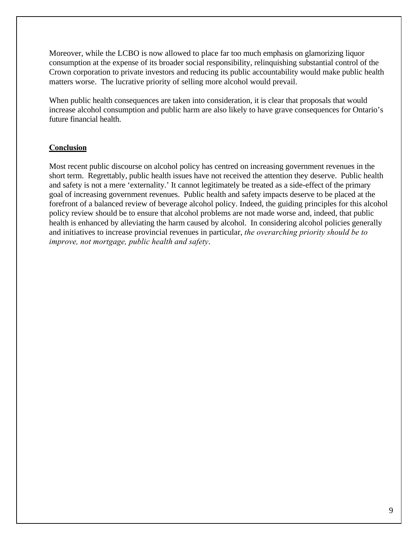Moreover, while the LCBO is now allowed to place far too much emphasis on glamorizing liquor consumption at the expense of its broader social responsibility, relinquishing substantial control of the Crown corporation to private investors and reducing its public accountability would make public health matters worse. The lucrative priority of selling more alcohol would prevail.

When public health consequences are taken into consideration, it is clear that proposals that would increase alcohol consumption and public harm are also likely to have grave consequences for Ontario's future financial health.

#### **Conclusion**

Most recent public discourse on alcohol policy has centred on increasing government revenues in the short term. Regrettably, public health issues have not received the attention they deserve. Public health and safety is not a mere 'externality.' It cannot legitimately be treated as a side-effect of the primary goal of increasing government revenues. Public health and safety impacts deserve to be placed at the forefront of a balanced review of beverage alcohol policy. Indeed, the guiding principles for this alcohol policy review should be to ensure that alcohol problems are not made worse and, indeed, that public health is enhanced by alleviating the harm caused by alcohol. In considering alcohol policies generally and initiatives to increase provincial revenues in particular, *the overarching priority should be to improve, not mortgage, public health and safety*.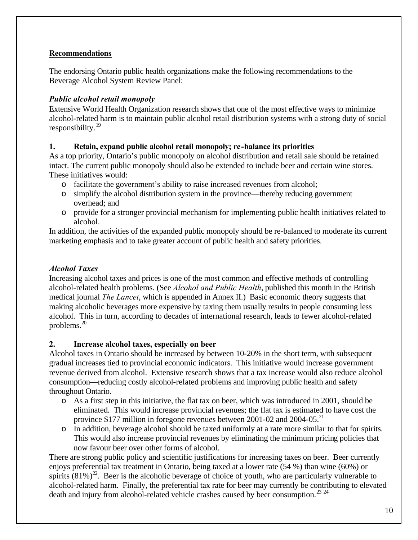### **Recommendations**

The endorsing Ontario public health organizations make the following recommendations to the Beverage Alcohol System Review Panel:

# *Public alcohol retail monopoly*

Extensive World Health Organization research shows that one of the most effective ways to minimize alcohol-related harm is to maintain public alcohol retail distribution systems with a strong duty of social responsibility.<sup>19</sup>

# **1. Retain, expand public alcohol retail monopoly; re-balance its priorities**

As a top priority, Ontario's public monopoly on alcohol distribution and retail sale should be retained intact. The current public monopoly should also be extended to include beer and certain wine stores. These initiatives would:

- o facilitate the government's ability to raise increased revenues from alcohol;
- o simplify the alcohol distribution system in the province—thereby reducing government overhead; and
- o provide for a stronger provincial mechanism for implementing public health initiatives related to alcohol.

In addition, the activities of the expanded public monopoly should be re-balanced to moderate its current marketing emphasis and to take greater account of public health and safety priorities.

# *Alcohol Taxes*

Increasing alcohol taxes and prices is one of the most common and effective methods of controlling alcohol-related health problems. (See *Alcohol and Public Health*, published this month in the British medical journal *The Lancet*, which is appended in Annex II.) Basic economic theory suggests that making alcoholic beverages more expensive by taxing them usually results in people consuming less alcohol. This in turn, according to decades of international research, leads to fewer alcohol-related problems.<sup>20</sup>

### **2. Increase alcohol taxes, especially on beer**

Alcohol taxes in Ontario should be increased by between 10-20% in the short term, with subsequent gradual increases tied to provincial economic indicators. This initiative would increase government revenue derived from alcohol. Extensive research shows that a tax increase would also reduce alcohol consumption—reducing costly alcohol-related problems and improving public health and safety throughout Ontario.

- o As a first step in this initiative, the flat tax on beer, which was introduced in 2001, should be eliminated. This would increase provincial revenues; the flat tax is estimated to have cost the province \$177 million in foregone revenues between 2001-02 and 2004-05.<sup>21</sup>
- o In addition, beverage alcohol should be taxed uniformly at a rate more similar to that for spirits. This would also increase provincial revenues by eliminating the minimum pricing policies that now favour beer over other forms of alcohol.

There are strong public policy and scientific justifications for increasing taxes on beer. Beer currently enjoys preferential tax treatment in Ontario, being taxed at a lower rate (54 %) than wine (60%) or spirits  $(81\%)^{22}$ . Beer is the alcoholic beverage of choice of youth, who are particularly vulnerable to alcohol-related harm. Finally, the preferential tax rate for beer may currently be contributing to elevated death and injury from alcohol-related vehicle crashes caused by beer consumption.<sup>23 24</sup>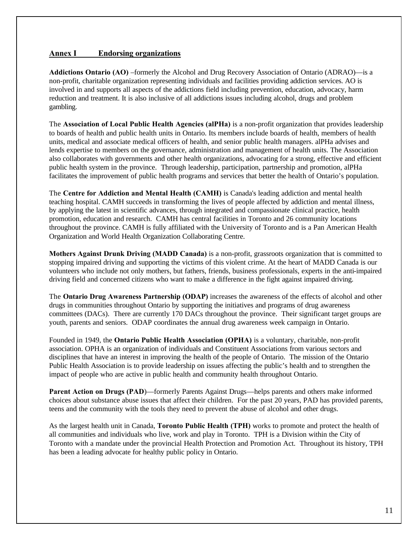#### **Annex I Endorsing organizations**

**Addictions Ontario (AO)** –formerly the Alcohol and Drug Recovery Association of Ontario (ADRAO)—is a non-profit, charitable organization representing individuals and facilities providing addiction services. AO is involved in and supports all aspects of the addictions field including prevention, education, advocacy, harm reduction and treatment. It is also inclusive of all addictions issues including alcohol, drugs and problem gambling.

The **Association of Local Public Health Agencies (alPHa)** is a non-profit organization that provides leadership to boards of health and public health units in Ontario. Its members include boards of health, members of health units, medical and associate medical officers of health, and senior public health managers. alPHa advises and lends expertise to members on the governance, administration and management of health units. The Association also collaborates with governments and other health organizations, advocating for a strong, effective and efficient public health system in the province. Through leadership, participation, partnership and promotion, alPHa facilitates the improvement of public health programs and services that better the health of Ontario's population.

The **Centre for Addiction and Mental Health (CAMH)** is Canada's leading addiction and mental health teaching hospital. CAMH succeeds in transforming the lives of people affected by addiction and mental illness, by applying the latest in scientific advances, through integrated and compassionate clinical practice, health promotion, education and research. CAMH has central facilities in Toronto and 26 community locations throughout the province. CAMH is fully affiliated with the University of Toronto and is a Pan American Health Organization and World Health Organization Collaborating Centre.

**Mothers Against Drunk Driving (MADD Canada)** is a non-profit, grassroots organization that is committed to stopping impaired driving and supporting the victims of this violent crime. At the heart of MADD Canada is our volunteers who include not only mothers, but fathers, friends, business professionals, experts in the anti-impaired driving field and concerned citizens who want to make a difference in the fight against impaired driving.

The **Ontario Drug Awareness Partnership (ODAP)** increases the awareness of the effects of alcohol and other drugs in communities throughout Ontario by supporting the initiatives and programs of drug awareness committees (DACs). There are currently 170 DACs throughout the province. Their significant target groups are youth, parents and seniors. ODAP coordinates the annual drug awareness week campaign in Ontario.

Founded in 1949, the **Ontario Public Health Association (OPHA)** is a voluntary, charitable, non-profit association. OPHA is an organization of individuals and Constituent Associations from various sectors and disciplines that have an interest in improving the health of the people of Ontario. The mission of the Ontario Public Health Association is to provide leadership on issues affecting the public's health and to strengthen the impact of people who are active in public health and community health throughout Ontario.

**Parent Action on Drugs (PAD)—formerly Parents Against Drugs—helps parents and others make informed** choices about substance abuse issues that affect their children. For the past 20 years, PAD has provided parents, teens and the community with the tools they need to prevent the abuse of alcohol and other drugs.

As the largest health unit in Canada, **Toronto Public Health (TPH)** works to promote and protect the health of all communities and individuals who live, work and play in Toronto. TPH is a Division within the City of Toronto with a mandate under the provincial Health Protection and Promotion Act. Throughout its history, TPH has been a leading advocate for healthy public policy in Ontario.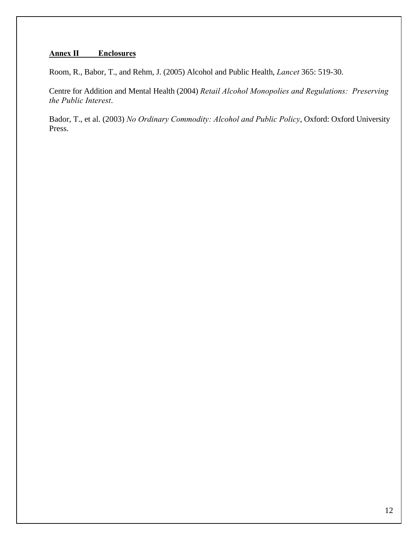### **Annex II Enclosures**

Room, R., Babor, T., and Rehm, J. (2005) Alcohol and Public Health, *Lancet* 365: 519-30.

Centre for Addition and Mental Health (2004) *Retail Alcohol Monopolies and Regulations: Preserving the Public Interest*.

Bador, T., et al. (2003) *No Ordinary Commodity: Alcohol and Public Policy*, Oxford: Oxford University Press.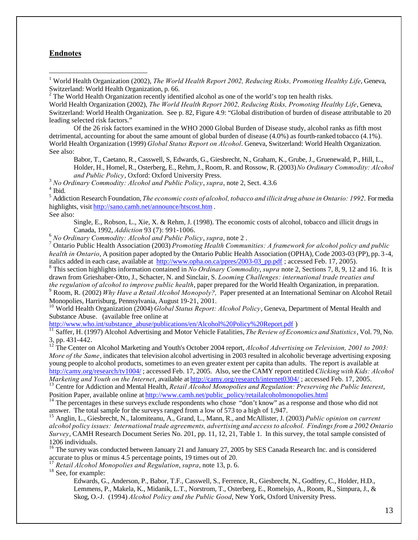#### **Endnotes**

 $\overline{a}$ 

 $2$  The World Health Organization recently identified alcohol as one of the world's top ten health risks. World Health Organization (2002), *The World Health Report 2002, Reducing Risks, Promoting Healthy Life*, Geneva, Switzerland: World Health Organization. See p. 82, Figure 4.9: "Global distribution of burden of disease attributable to 20 leading selected risk factors."

Of the 26 risk factors examined in the WHO 2000 Global Burden of Disease study, alcohol ranks as fifth most detrimental, accounting for about the same amount of global burden of disease (4.0%) as fourth-ranked tobacco (4.1%). World Health Organization (1999) *Global Status Report on Alcohol*. Geneva, Switzerland: World Health Organization. See also:

Babor, T., Caetano, R., Casswell, S, Edwards, G., Giesbrecht, N., Graham, K., Grube, J., Gruenewald, P., Hill, L., Holder, H., Homel, R., Osterberg, E., Rehm, J., Room, R. and Rossow, R. (2003) *No Ordinary Commodity: Alcohol and Public Policy*, Oxford: Oxford University Press.

<sup>3</sup> *No Ordinary Commodity: Alcohol and Public Policy*, *supra*, note 2, Sect. 4.3.6 4 Ibid.

5 Addiction Research Foundation, *The economic costs of alcohol, tobacco and illicit drug abuse in Ontario: 1992*. For media highlights, visit http://sano.camh.net/announce/htscost.htm . See also:

Single, E., Robson, L., Xie, X. & Rehm, J. (1998). The economic costs of alcohol, tobacco and illicit drugs in Canada, 1992, *Addiction* 93 (7): 991-1006.

<sup>6</sup> *No Ordinary Commodity: Alcohol and Public Policy*, *supra*, note 2 .

7 Ontario Public Health Association (2003) *Promoting Health Communities: A framework for alcohol policy and public health in Ontario*, A position paper adopted by the Ontario Public Health Association (OPHA), Code 2003-03 (PP), pp. 3-4, italics added in each case, available at http://www.opha.on.ca/ppres/2003-03\_pp.pdf ; accessed Feb. 17, 2005).

8 This section highlights information contained in *No Ordinary Commodity*, *supra* note 2, Sections 7, 8, 9, 12 and 16. It is drawn from Grieshaber-Otto, J., Schacter, N. and Sinclair, S. *Looming Challenges: international trade treaties and*

the regulation of alcohol to improve public health, paper prepared for the World Health Organization, in preparation.<br><sup>9</sup> Room, R. (2002) *Why Have a Retail Alcohol Monopoly?,* Paper presented at an International Seminar Monopolies, Harrisburg, Pennsylvania, August 19-21, 2001.

<sup>10</sup> World Health Organization (2004) *Global Status Report: Alcohol Policy*, Geneva, Department of Mental Health and Substance Abuse. (available free online at

http://www.who.int/substance\_abuse/publications/en/Alcohol%20Policy%20Report.pdf )

<sup>11</sup> Saffer, H. (1997) Alcohol Advertising and Motor Vehicle Fatalities, *The Review of Economics and Statistics*, Vol. 79, No. 3, pp. 431-442.

<sup>12</sup> The Center on Alcohol Marketing and Youth's October 2004 report, *Alcohol Advertising on Television, 2001 to 2003: More of the Same*, indicates that television alcohol advertising in 2003 resulted in alcoholic beverage advertising exposing young people to alcohol products, sometimes to an even greater extent per capita than adults. The report is available at http://camy.org/research/tv1004/ ; accessed Feb. 17, 2005. Also, see the CAMY report entitled *Clicking with Kids: Alcohol Marketing and Youth on the Internet*, available at http://camy.org/research/internet0304/ ; accessed Feb. 17, 2005.

<sup>13</sup> Centre for Addiction and Mental Health, *Retail Alcohol Monopolies and Regulation: Preserving the Public Interest*, Position Paper, available online at http://www.camh.net/public\_policy/retailalcoholmonopolies.html

<sup>14</sup> The percentages in these surveys exclude respondents who chose "don't know" as a response and those who did not answer. The total sample for the surveys ranged from a low of 573 to a high of 1,947.

<sup>15</sup> Anglin, L., Giesbrecht, N., Ialomiteanu, A., Grand, L., Mann, R., and McAllister, J. (2003) *Public opinion on current alcohol policy issues: International trade agreements, advertising and access to alcohol. Findings from a 2002 Ontario Survey*, CAMH Research Document Series No. 201, pp. 11, 12, 21, Table 1. In this survey, the total sample consisted of 1206 individuals.

<sup>16</sup> The survey was conducted between January 21 and January 27, 2005 by SES Canada Research Inc. and is considered accurate to plus or minus 4.5 percentage points, 19 times out of 20.

<sup>17</sup> *Retail Alcohol Monopolies and Regulation*, *supra*, note 13, p. 6.

<sup>18</sup> See, for example:

Edwards, G., Anderson, P., Babor, T.F., Casswell, S., Ferrence, R., Giesbrecht, N., Godfrey, C., Holder, H.D., Lemmens, P., Makela, K., Midanik, L.T., Norstrom, T., Osterberg, E., Romelsjo, A., Room, R., Simpura, J., & Skog, O.-J. (1994) *Alcohol Policy and the Public Good*, New York, Oxford University Press.

<sup>&</sup>lt;sup>1</sup> World Health Organization (2002), *The World Health Report 2002, Reducing Risks, Promoting Healthy Life*, Geneva, Switzerland: World Health Organization, p. 66.